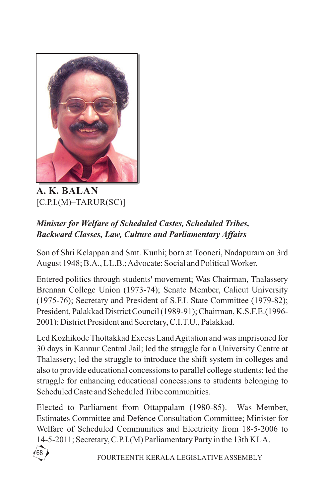

**A. K. BALAN** [C.P.I.(M)–TARUR(SC)]

## *Minister for Welfare of Scheduled Castes, Scheduled Tribes, Backward Classes, Law, Culture and Parliamentary Affairs*

Son of Shri Kelappan and Smt. Kunhi; born at Tooneri, Nadapuram on 3rd August 1948; B.A., LL.B.; Advocate; Social and Political Worker.

Entered politics through students' movement; Was Chairman, Thalassery Brennan College Union (1973-74); Senate Member, Calicut University (1975-76); Secretary and President of S.F.I. State Committee (1979-82); President, Palakkad District Council (1989-91); Chairman, K.S.F.E.(1996- 2001); District President and Secretary, C.I.T.U., Palakkad.

Led Kozhikode Thottakkad Excess Land Agitation and was imprisoned for 30 days in Kannur Central Jail; led the struggle for a University Centre at Thalassery; led the struggle to introduce the shift system in colleges and also to provide educational concessions to parallel college students; led the struggle for enhancing educational concessions to students belonging to Scheduled Caste and Scheduled Tribe communities.

Elected to Parliament from Ottappalam (1980-85). Was Member, Estimates Committee and Defence Consultation Committee; Minister for Welfare of Scheduled Communities and Electricity from 18-5-2006 to 14-5-2011; Secretary, C.P.I.(M) Parliamentary Party in the 13th KLA.